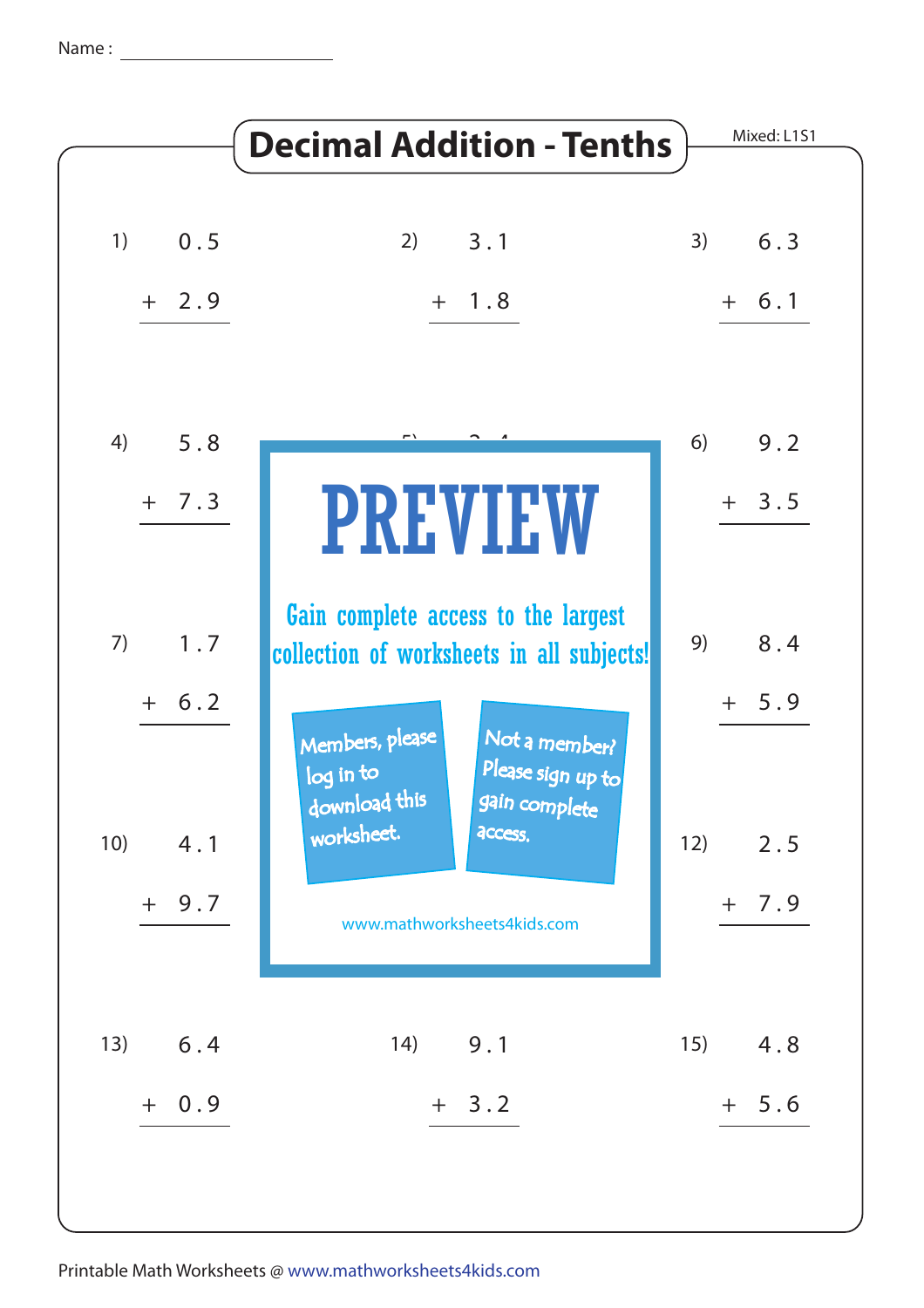